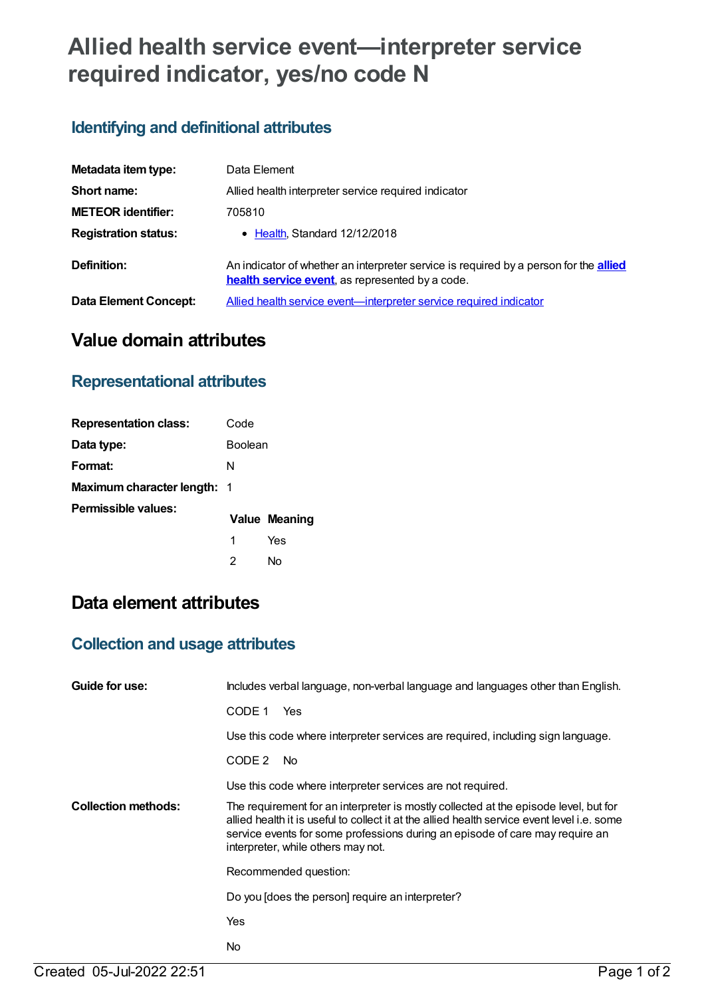# **Allied health service event—interpreter service required indicator, yes/no code N**

## **Identifying and definitional attributes**

| Metadata item type:          | Data Element                                                                                                                                            |
|------------------------------|---------------------------------------------------------------------------------------------------------------------------------------------------------|
| Short name:                  | Allied health interpreter service required indicator                                                                                                    |
| <b>METEOR identifier:</b>    | 705810                                                                                                                                                  |
| <b>Registration status:</b>  | • Health, Standard 12/12/2018                                                                                                                           |
| Definition:                  | An indicator of whether an interpreter service is required by a person for the <b>allied</b><br><b>health service event</b> , as represented by a code. |
| <b>Data Element Concept:</b> | Allied health service event—interpreter service required indicator                                                                                      |

## **Value domain attributes**

#### **Representational attributes**

| <b>Representation class:</b>       | Code    |               |
|------------------------------------|---------|---------------|
| Data type:                         | Boolean |               |
| Format:                            | N       |               |
| <b>Maximum character length: 1</b> |         |               |
| Permissible values:                |         | Value Meaning |
|                                    | 1       | Yes           |
|                                    | 2       | N٥            |

## **Data element attributes**

### **Collection and usage attributes**

| Guide for use:             | Includes verbal language, non-verbal language and languages other than English.                                                                                                                                                                                                                           |
|----------------------------|-----------------------------------------------------------------------------------------------------------------------------------------------------------------------------------------------------------------------------------------------------------------------------------------------------------|
|                            | CODE 1<br>Yes                                                                                                                                                                                                                                                                                             |
|                            | Use this code where interpreter services are required, including sign language.                                                                                                                                                                                                                           |
|                            | CODE 2<br>No.                                                                                                                                                                                                                                                                                             |
|                            | Use this code where interpreter services are not required.                                                                                                                                                                                                                                                |
| <b>Collection methods:</b> | The requirement for an interpreter is mostly collected at the episode level, but for<br>allied health it is useful to collect it at the allied health service event level i.e. some<br>service events for some professions during an episode of care may require an<br>interpreter, while others may not. |
|                            | Recommended question:                                                                                                                                                                                                                                                                                     |
|                            | Do you [does the person] require an interpreter?                                                                                                                                                                                                                                                          |
|                            | Yes                                                                                                                                                                                                                                                                                                       |
|                            | No.                                                                                                                                                                                                                                                                                                       |